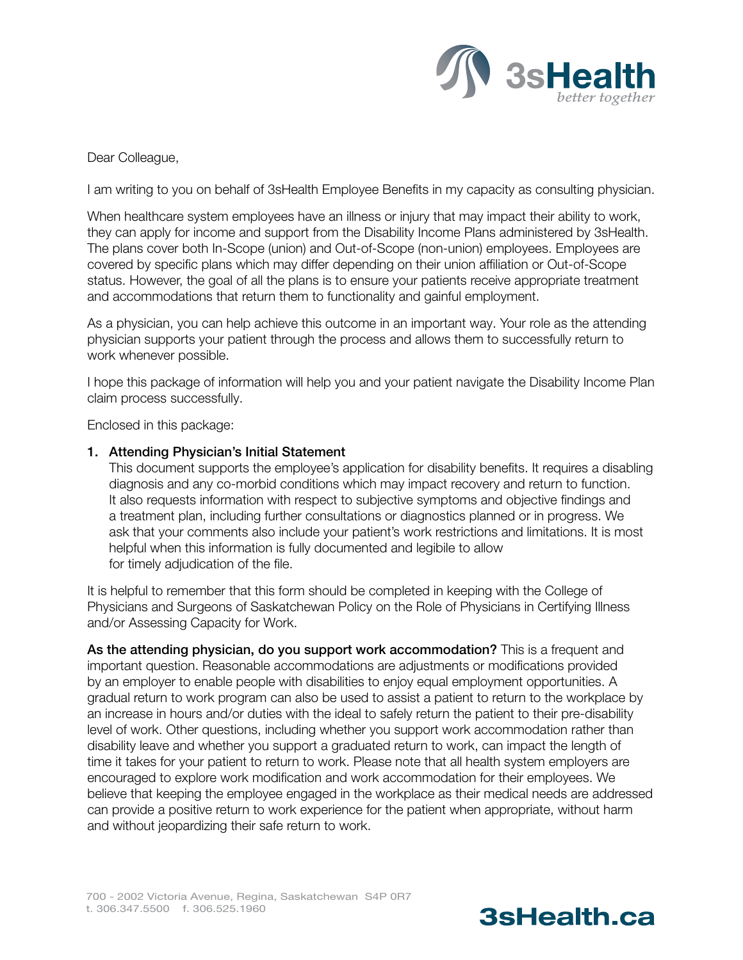

Dear Colleague,

I am writing to you on behalf of 3sHealth Employee Benefits in my capacity as consulting physician.

When healthcare system employees have an illness or injury that may impact their ability to work, they can apply for income and support from the Disability Income Plans administered by 3sHealth. The plans cover both In-Scope (union) and Out-of-Scope (non-union) employees. Employees are covered by specific plans which may differ depending on their union affiliation or Out-of-Scope status. However, the goal of all the plans is to ensure your patients receive appropriate treatment and accommodations that return them to functionality and gainful employment.

As a physician, you can help achieve this outcome in an important way. Your role as the attending physician supports your patient through the process and allows them to successfully return to work whenever possible.

I hope this package of information will help you and your patient navigate the Disability Income Plan claim process successfully.

Enclosed in this package:

#### 1. Attending Physician's Initial Statement

This document supports the employee's application for disability benefits. It requires a disabling diagnosis and any co-morbid conditions which may impact recovery and return to function. It also requests information with respect to subjective symptoms and objective findings and a treatment plan, including further consultations or diagnostics planned or in progress. We ask that your comments also include your patient's work restrictions and limitations. It is most helpful when this information is fully documented and legibile to allow for timely adjudication of the file.

It is helpful to remember that this form should be completed in keeping with the College of Physicians and Surgeons of Saskatchewan Policy on the Role of Physicians in Certifying Illness and/or Assessing Capacity for Work.

As the attending physician, do you support work accommodation? This is a frequent and important question. Reasonable accommodations are adjustments or modifications provided by an employer to enable people with disabilities to enjoy equal employment opportunities. A gradual return to work program can also be used to assist a patient to return to the workplace by an increase in hours and/or duties with the ideal to safely return the patient to their pre-disability level of work. Other questions, including whether you support work accommodation rather than disability leave and whether you support a graduated return to work, can impact the length of time it takes for your patient to return to work. Please note that all health system employers are encouraged to explore work modification and work accommodation for their employees. We believe that keeping the employee engaged in the workplace as their medical needs are addressed can provide a positive return to work experience for the patient when appropriate, without harm and without jeopardizing their safe return to work.

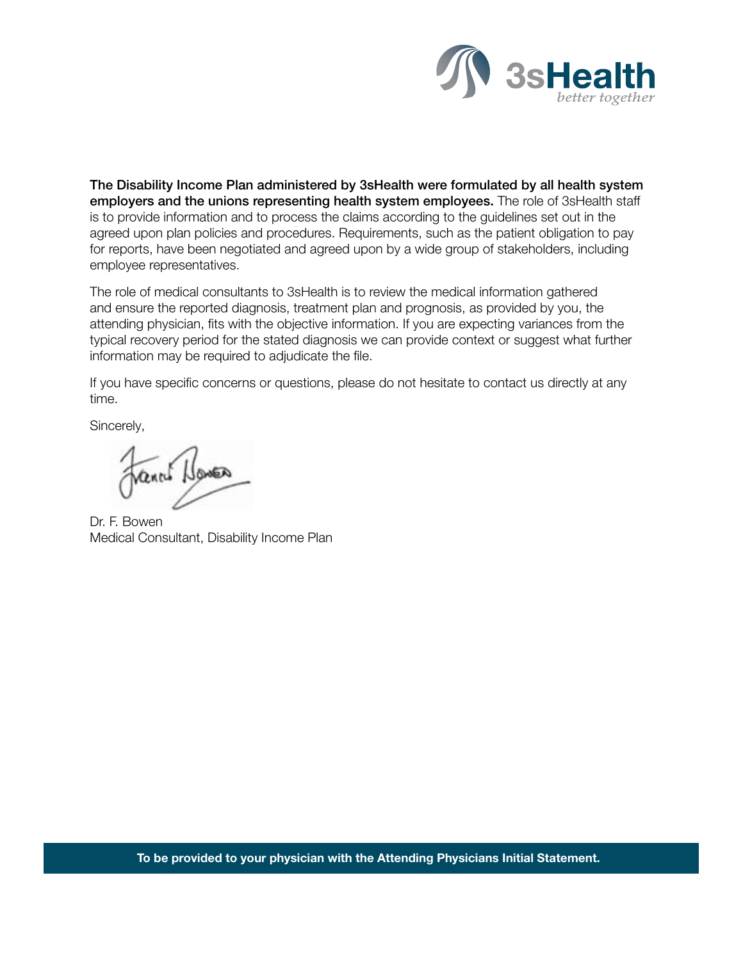

The Disability Income Plan administered by 3sHealth were formulated by all health system employers and the unions representing health system employees. The role of 3sHealth staff is to provide information and to process the claims according to the guidelines set out in the agreed upon plan policies and procedures. Requirements, such as the patient obligation to pay for reports, have been negotiated and agreed upon by a wide group of stakeholders, including employee representatives.

The role of medical consultants to 3sHealth is to review the medical information gathered and ensure the reported diagnosis, treatment plan and prognosis, as provided by you, the attending physician, fits with the objective information. If you are expecting variances from the typical recovery period for the stated diagnosis we can provide context or suggest what further information may be required to adjudicate the file.

If you have specific concerns or questions, please do not hesitate to contact us directly at any time.

Sincerely,

Vennet Howen

Dr. F. Bowen Medical Consultant, Disability Income Plan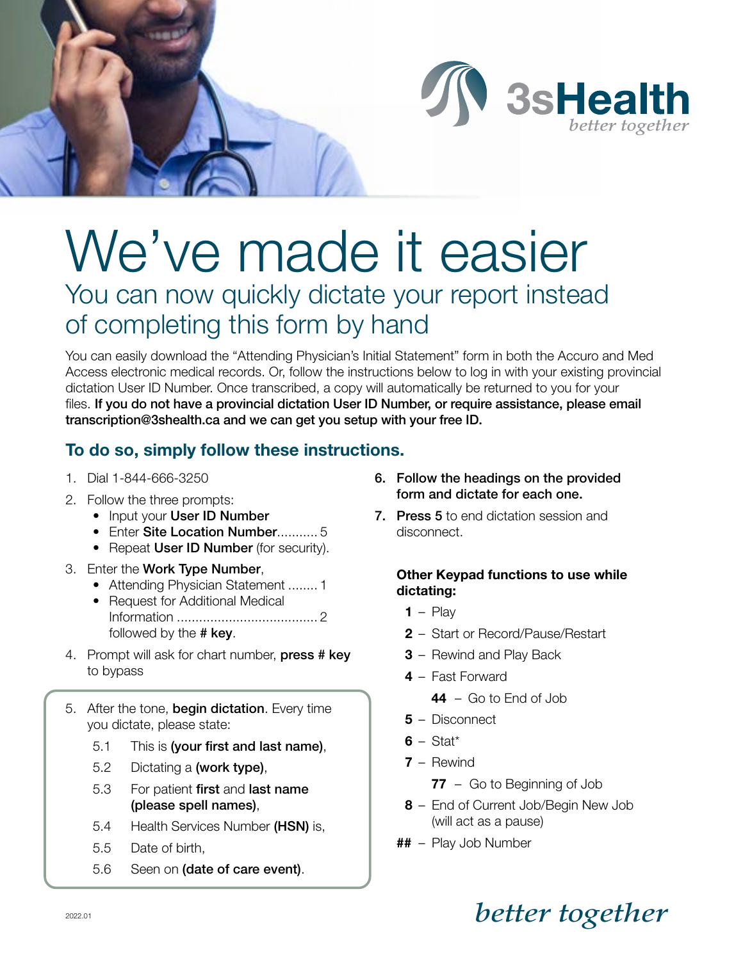

# We've made it easier You can now quickly dictate your report instead of completing this form by hand

You can easily download the "Attending Physician's Initial Statement" form in both the Accuro and Med Access electronic medical records. Or, follow the instructions below to log in with your existing provincial dictation User ID Number. Once transcribed, a copy will automatically be returned to you for your files. If you do not have a provincial dictation User ID Number, or require assistance, please email transcription@3shealth.ca and we can get you setup with your free ID.

## To do so, simply follow these instructions.

- 1. Dial 1-844-666-3250
- 2. Follow the three prompts:
	- Input your User ID Number
	- Enter Site Location Number........... 5
	- Repeat User ID Number (for security).
- 3. Enter the Work Type Number,
	- Attending Physician Statement ........ 1
	- Request for Additional Medical Information ...................................... 2 followed by the # key.
- 4. Prompt will ask for chart number, press # key to bypass
- 5. After the tone, begin dictation. Every time you dictate, please state:
	- 5.1 This is (your first and last name),
	- 5.2 Dictating a (work type),
	- 5.3 For patient first and last name (please spell names),
	- 5.4 Health Services Number (HSN) is,
	- 5.5 Date of birth,
	- 5.6 Seen on (date of care event).

700 - 2002 Victoria Avenue, Regina, Saskatchewan S4P 0R7

- 6. Follow the headings on the provided form and dictate for each one.
- 7. Press 5 to end dictation session and disconnect.

#### Other Keypad functions to use while dictating:

- $1 -$  Play
- 2 Start or Record/Pause/Restart
- 3 Rewind and Play Back
- 4 Fast Forward
	- $44 Go$  to Fnd of Job
- 5 Disconnect
- $6 Stat<sup>*</sup>$
- 7 Rewind
	- 77 Go to Beginning of Job
- 8 End of Current Job/Begin New Job (will act as a pause)
- ## Play Job Number

# 2022.01 *better together*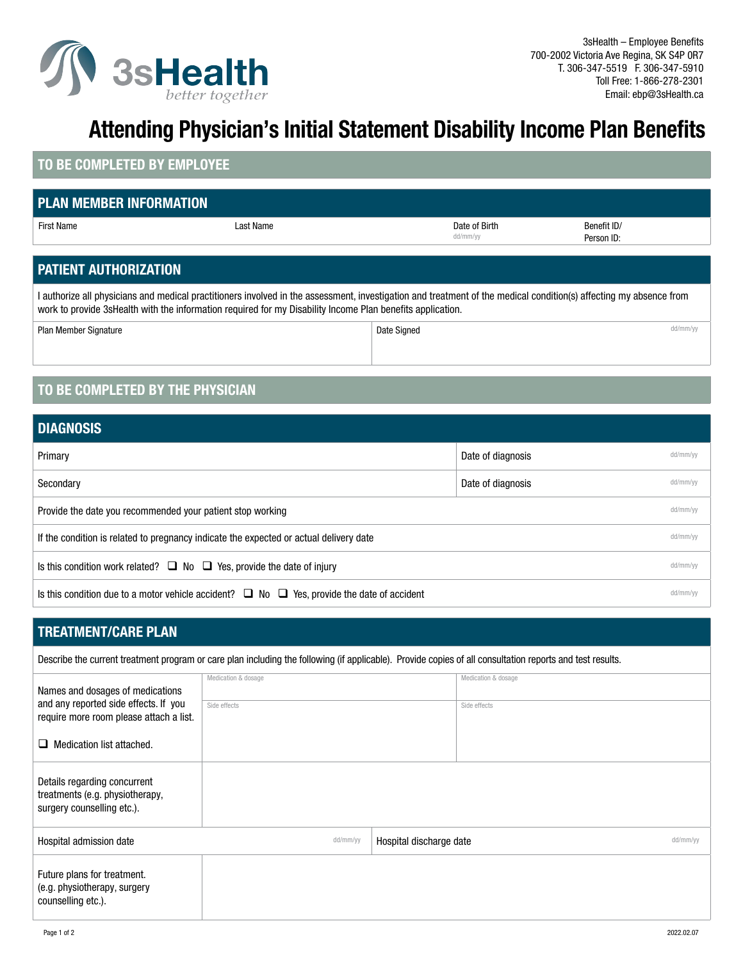

# Attending Physician's Initial Statement Disability Income Plan Benefits

#### TO BE COMPLETED BY EMPLOYEE

#### PLAN MEMBER INFORMATION

| I PLAN MEMBEK INFOKMATION. |           |                           |                           |
|----------------------------|-----------|---------------------------|---------------------------|
| First Name                 | ast Name. | Date of Birth<br>dd/mm/yy | Benefit ID/<br>Person ID: |

### PATIENT AUTHORIZATION

I authorize all physicians and medical practitioners involved in the assessment, investigation and treatment of the medical condition(s) affecting my absence from work to provide 3sHealth with the information required for my Disability Income Plan benefits application.

Plan Member Signature de de de la contracte de la contracte de la contracte de la contracte de la contracte de de la contracte de de la contracte de de la contracte de la contracte de la contracte de la contracte de la con

### TO BE COMPLETED BY THE PHYSICIAN

| <b>DIAGNOSIS</b>                                                                                      |                   |          |
|-------------------------------------------------------------------------------------------------------|-------------------|----------|
| Primary                                                                                               | Date of diagnosis | dd/mm/yy |
| Secondary                                                                                             | Date of diagnosis | dd/mm/yy |
| Provide the date you recommended your patient stop working                                            |                   | dd/mm/yy |
| If the condition is related to pregnancy indicate the expected or actual delivery date                |                   | dd/mm/yy |
| Is this condition work related? $\Box$ No $\Box$ Yes, provide the date of injury                      |                   | dd/mm/yy |
| Is this condition due to a motor vehicle accident? $\Box$ No $\Box$ Yes, provide the date of accident |                   | dd/mm/yy |

#### TREATMENT/CARE PLAN

| Describe the current treatment program or care plan including the following (if applicable). Provide copies of all consultation reports and test results. |                     |                         |                     |          |
|-----------------------------------------------------------------------------------------------------------------------------------------------------------|---------------------|-------------------------|---------------------|----------|
| Names and dosages of medications                                                                                                                          | Medication & dosage |                         | Medication & dosage |          |
| and any reported side effects. If you<br>require more room please attach a list.                                                                          | Side effects        |                         | Side effects        |          |
| $\Box$ Medication list attached.                                                                                                                          |                     |                         |                     |          |
| Details regarding concurrent<br>treatments (e.g. physiotherapy,<br>surgery counselling etc.).                                                             |                     |                         |                     |          |
| Hospital admission date                                                                                                                                   | dd/mm/yy            | Hospital discharge date |                     | dd/mm/yy |
| Future plans for treatment.<br>(e.g. physiotherapy, surgery<br>counselling etc.).                                                                         |                     |                         |                     |          |